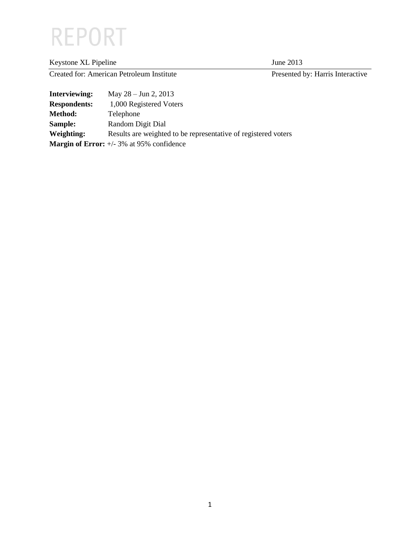# **REPORT**

| Keystone XL Pipeline                      |                                 | June 2013                        |
|-------------------------------------------|---------------------------------|----------------------------------|
| Created for: American Petroleum Institute |                                 | Presented by: Harris Interactive |
| Interviewing:                             | May $28 - \text{Jun } 2$ , 2013 |                                  |

| mul viewing.        |                                                                |
|---------------------|----------------------------------------------------------------|
| <b>Respondents:</b> | 1,000 Registered Voters                                        |
| Method:             | Telephone                                                      |
| Sample:             | Random Digit Dial                                              |
| Weighting:          | Results are weighted to be representative of registered voters |
|                     | <b>Margin of Error:</b> $+/-3\%$ at 95% confidence             |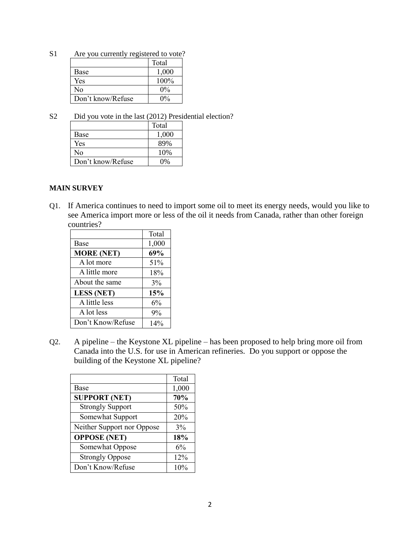S1 Are you currently registered to vote?

|                   | Total |
|-------------------|-------|
| Base              | 1,000 |
| Yes               | 100%  |
| No                | $0\%$ |
| Don't know/Refuse | $0\%$ |

S2 Did you vote in the last (2012) Presidential election?

|                   | Total |
|-------------------|-------|
| Base              | 1,000 |
| Yes               | 89%   |
| Nο                | 10%   |
| Don't know/Refuse | 0%    |

#### **MAIN SURVEY**

Q1. If America continues to need to import some oil to meet its energy needs, would you like to see America import more or less of the oil it needs from Canada, rather than other foreign countries?

|                   | Total |
|-------------------|-------|
| Base              | 1,000 |
| <b>MORE (NET)</b> | 69%   |
| A lot more        | 51%   |
| A little more     | 18%   |
| About the same    | 3%    |
| <b>LESS (NET)</b> | 15%   |
| A little less     | 6%    |
| A lot less        | 9%    |
| Don't Know/Refuse | 14%   |

Q2. A pipeline – the Keystone XL pipeline – has been proposed to help bring more oil from Canada into the U.S. for use in American refineries. Do you support or oppose the building of the Keystone XL pipeline?

|                            | Total |
|----------------------------|-------|
| Base                       | 1,000 |
| <b>SUPPORT (NET)</b>       | 70%   |
| <b>Strongly Support</b>    | 50%   |
| Somewhat Support           | 20%   |
| Neither Support nor Oppose | 3%    |
| <b>OPPOSE</b> (NET)        | 18%   |
| Somewhat Oppose            | 6%    |
| <b>Strongly Oppose</b>     | 12%   |
| Don't Know/Refuse          | 10%   |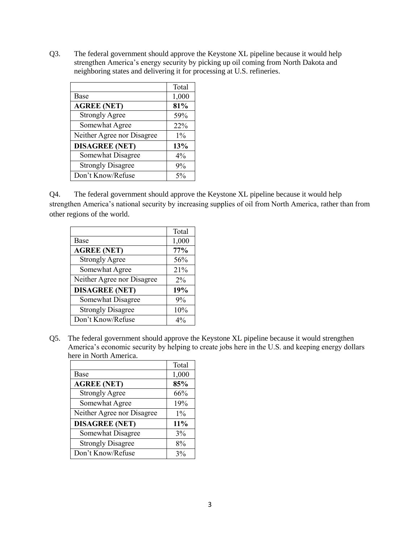Q3. The federal government should approve the Keystone XL pipeline because it would help strengthen America's energy security by picking up oil coming from North Dakota and neighboring states and delivering it for processing at U.S. refineries.

|                            | Total |
|----------------------------|-------|
| Base                       | 1,000 |
| <b>AGREE (NET)</b>         | 81%   |
| <b>Strongly Agree</b>      | 59%   |
| Somewhat Agree             | 22%   |
| Neither Agree nor Disagree | $1\%$ |
| <b>DISAGREE (NET)</b>      | 13%   |
| Somewhat Disagree          | 4%    |
| <b>Strongly Disagree</b>   | 9%    |
| Don't Know/Refuse          | $5\%$ |

Q4. The federal government should approve the Keystone XL pipeline because it would help strengthen America's national security by increasing supplies of oil from North America, rather than from other regions of the world.

|                            | Total |
|----------------------------|-------|
| Base                       | 1,000 |
| <b>AGREE (NET)</b>         | 77%   |
| <b>Strongly Agree</b>      | 56%   |
| Somewhat Agree             | 21%   |
| Neither Agree nor Disagree | $2\%$ |
| <b>DISAGREE (NET)</b>      | 19%   |
| Somewhat Disagree          | 9%    |
| <b>Strongly Disagree</b>   | 10%   |
| Don't Know/Refuse          | 4%    |

Q5. The federal government should approve the Keystone XL pipeline because it would strengthen America's economic security by helping to create jobs here in the U.S. and keeping energy dollars here in North America.

|                            | Total |
|----------------------------|-------|
| <b>Base</b>                | 1,000 |
| <b>AGREE (NET)</b>         | 85%   |
| <b>Strongly Agree</b>      | 66%   |
| Somewhat Agree             | 19%   |
| Neither Agree nor Disagree | $1\%$ |
| <b>DISAGREE (NET)</b>      | 11%   |
| Somewhat Disagree          | 3%    |
| <b>Strongly Disagree</b>   | 8%    |
| Don't Know/Refuse          | 3%    |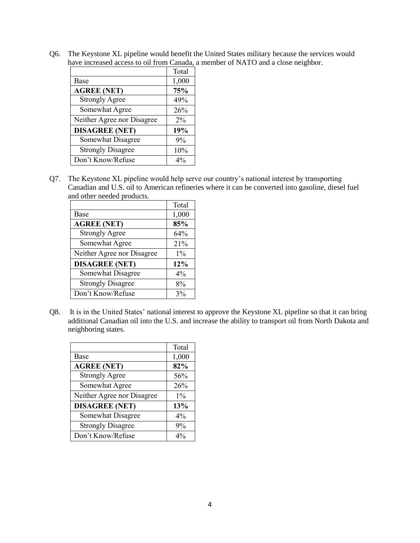Q6. The Keystone XL pipeline would benefit the United States military because the services would have increased access to oil from Canada, a member of NATO and a close neighbor.

|                            | Total |
|----------------------------|-------|
| Base                       | 1,000 |
| <b>AGREE (NET)</b>         | 75%   |
| <b>Strongly Agree</b>      | 49%   |
| Somewhat Agree             | 26%   |
| Neither Agree nor Disagree | $2\%$ |
| <b>DISAGREE (NET)</b>      | 19%   |
| Somewhat Disagree          | 9%    |
| <b>Strongly Disagree</b>   | 10%   |
| Don't Know/Refuse          | $4\%$ |

Q7. The Keystone XL pipeline would help serve our country's national interest by transporting Canadian and U.S. oil to American refineries where it can be converted into gasoline, diesel fuel and other needed products.

|                            | Total |
|----------------------------|-------|
| Base                       | 1,000 |
| <b>AGREE (NET)</b>         | 85%   |
| <b>Strongly Agree</b>      | 64%   |
| Somewhat Agree             | 21%   |
| Neither Agree nor Disagree | $1\%$ |
| <b>DISAGREE (NET)</b>      | 12%   |
| Somewhat Disagree          | 4%    |
| <b>Strongly Disagree</b>   | 8%    |
| Don't Know/Refuse          | 3%    |

Q8. It is in the United States' national interest to approve the Keystone XL pipeline so that it can bring additional Canadian oil into the U.S. and increase the ability to transport oil from North Dakota and neighboring states.

|                            | Total |
|----------------------------|-------|
| Base                       | 1,000 |
| <b>AGREE (NET)</b>         | 82%   |
| <b>Strongly Agree</b>      | 56%   |
| Somewhat Agree             | 26%   |
| Neither Agree nor Disagree | $1\%$ |
| <b>DISAGREE (NET)</b>      | 13%   |
| Somewhat Disagree          | 4%    |
| <b>Strongly Disagree</b>   | 9%    |
| Don't Know/Refuse          | $4\%$ |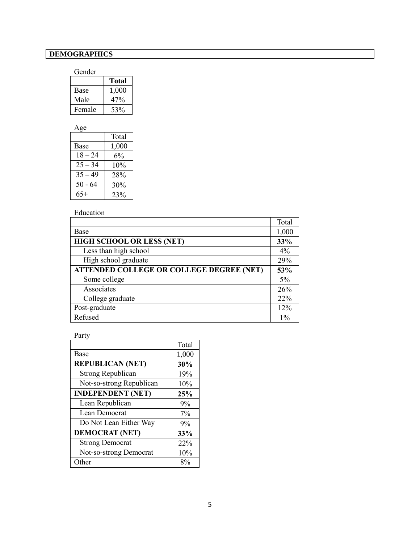## **DEMOGRAPHICS**

#### Gender

|        | <b>Total</b> |
|--------|--------------|
| Base   | 1,000        |
| Male   | 47%          |
| Female | 53%          |

| Age       |       |
|-----------|-------|
|           | Total |
| Base      | 1,000 |
| $18 - 24$ | $6\%$ |
| $25 - 34$ | 10%   |
| $35 - 49$ | 28%   |
| $50 - 64$ | 30%   |
| $65+$     | 23%   |

### Education

|                                                 | Total |
|-------------------------------------------------|-------|
| Base                                            | 1,000 |
| HIGH SCHOOL OR LESS (NET)                       | 33%   |
| Less than high school                           | 4%    |
| High school graduate                            | 29%   |
| <b>ATTENDED COLLEGE OR COLLEGE DEGREE (NET)</b> | 53%   |
| Some college                                    | $5\%$ |
| Associates                                      | 26%   |
| College graduate                                | 22%   |
| Post-graduate                                   | 12%   |
| Refused                                         | $1\%$ |

#### Party

|                          | Total |
|--------------------------|-------|
| Base                     | 1,000 |
| <b>REPUBLICAN (NET)</b>  | 30%   |
| <b>Strong Republican</b> | 19%   |
| Not-so-strong Republican | 10%   |
| <b>INDEPENDENT (NET)</b> | 25%   |
| Lean Republican          | 9%    |
| Lean Democrat            | $7\%$ |
| Do Not Lean Either Way   | 9%    |
| <b>DEMOCRAT (NET)</b>    | 33%   |
| <b>Strong Democrat</b>   | 22%   |
| Not-so-strong Democrat   | 10%   |
| Other                    | 8%    |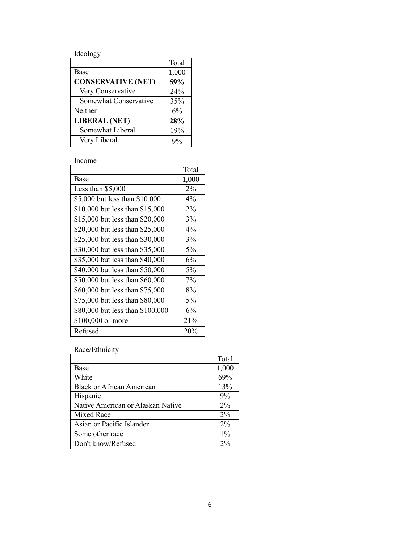Ideology

|                           | Total |
|---------------------------|-------|
| <b>Base</b>               | 1,000 |
| <b>CONSERVATIVE (NET)</b> | 59%   |
| Very Conservative         | 24%   |
| Somewhat Conservative     | 35%   |
| Neither                   | 6%    |
| <b>LIBERAL (NET)</b>      | 28%   |
| Somewhat Liberal          | 19%   |
| Very Liberal              |       |

Income

|                                  | Total |
|----------------------------------|-------|
| Base                             | 1,000 |
| Less than $$5,000$               | 2%    |
| \$5,000 but less than \$10,000   | $4\%$ |
| \$10,000 but less than \$15,000  | 2%    |
| \$15,000 but less than \$20,000  | 3%    |
| \$20,000 but less than \$25,000  | 4%    |
| \$25,000 but less than \$30,000  | 3%    |
| \$30,000 but less than \$35,000  | 5%    |
| \$35,000 but less than \$40,000  | 6%    |
| \$40,000 but less than \$50,000  | 5%    |
| \$50,000 but less than \$60,000  | 7%    |
| \$60,000 but less than \$75,000  | 8%    |
| \$75,000 but less than \$80,000  | 5%    |
| \$80,000 but less than \$100,000 | 6%    |
| \$100,000 or more                | 21%   |
| Refused                          | 20%   |

Race/Ethnicity

|                                   | Total |
|-----------------------------------|-------|
| Base                              | 1,000 |
| White                             | 69%   |
| <b>Black or African American</b>  | 13%   |
| Hispanic                          | 9%    |
| Native American or Alaskan Native | $2\%$ |
| Mixed Race                        | $2\%$ |
| Asian or Pacific Islander         | $2\%$ |
| Some other race                   | $1\%$ |
| Don't know/Refused                | $2\%$ |